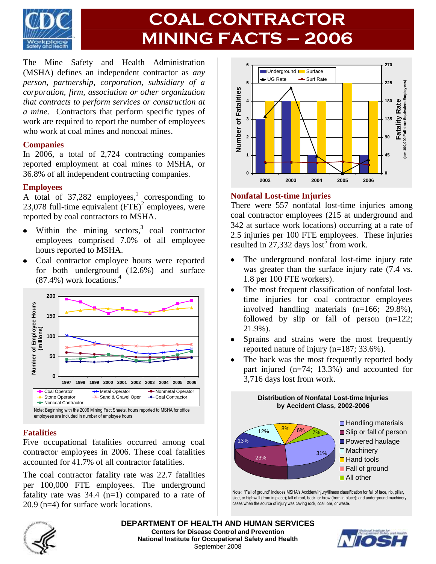

# **COAL CONTRACTOR MINING FACTS – 2006**

The Mine Safety and Health Administration (MSHA) defines an independent contractor as *any person, partnership, corporation, subsidiary of a corporation, firm, association or other organization that contracts to perform services or construction at a mine*. Contractors that perform specific types of work are required to report the number of employees who work at coal mines and noncoal mines.

#### **Companies**

In 2006, a total of 2,724 contracting companies reported employment at coal mines to MSHA, or 36.8% of all independent contracting companies.

#### **Employees**

A total of  $37,282$  employees,<sup>1</sup> corresponding to 23,078 full-time equivalent  $(FTE)^2$  employees, were reported by coal contractors to MSHA.

- Within the mining sectors, $3$  coal contractor  $\bullet$ employees comprised 7.0% of all employee hours reported to MSHA.
- Coal contractor employee hours were reported for both underground (12.6%) and surface  $(87.4\%)$  work locations.<sup>4</sup>



### **Fatalities**

Five occupational fatalities occurred among coal contractor employees in 2006. These coal fatalities accounted for 41.7% of all contractor fatalities.

The coal contractor fatality rate was 22.7 fatalities per 100,000 FTE employees. The underground fatality rate was  $34.4$  (n=1) compared to a rate of 20.9 (n=4) for surface work locations.



### **Nonfatal Lost-time Injuries**

There were 557 nonfatal lost-time injuries among coal contractor employees (215 at underground and 342 at surface work locations) occurring at a rate of 2.5 injuries per 100 FTE employees. These injuries resulted in  $27,332$  days lost<sup>5</sup> from work.

- The underground nonfatal lost-time injury rate was greater than the surface injury rate (7.4 vs. 1.8 per 100 FTE workers).
- The most frequent classification of nonfatal lost- $\bullet$ time injuries for coal contractor employees involved handling materials (n=166; 29.8%), followed by slip or fall of person (n=122; 21.9%).
- Sprains and strains were the most frequently  $\bullet$ reported nature of injury (n=187; 33.6%).
- The back was the most frequently reported body part injured (n=74; 13.3%) and accounted for 3,716 days lost from work.

**Distribution of Nonfatal Lost-time Injuries**



Note: "Fall of ground" includes MSHA's Accident/Injury/Illness classification for fall of face, rib, pillar, side, or highwall (from in place); fall of roof, back, or brow (from in place); and underground machinery cases when the source of injury was caving rock, coal, ore, or waste.



**DEPARTMENT OF HEALTH AND HUMAN SERVICES Centers for Disease Control and Prevention National Institute for Occupational Safety and Health** September 2008